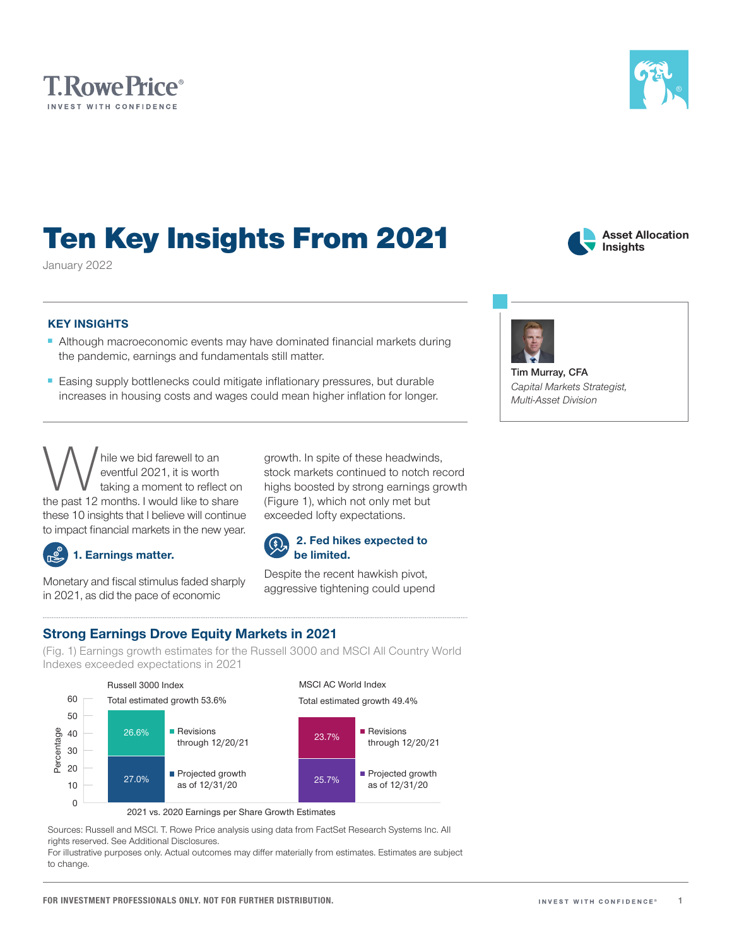### Ten Key Insights From 2021 January 2022

KEY INSIGHTS

- Although macroeconomic events may have dominated financial markets during the pandemic, earnings and fundamentals still matter.
- Easing supply bottlenecks could mitigate inflationary pressures, but durable increases in housing costs and wages could mean higher inflation for longer.

while we bid farewell to an<br>eventful 2021, it is worth<br>the past 12 months. I would like to share eventful 2021, it is worth taking a moment to reflect on these 10 insights that I believe will continue to impact financial markets in the new year.

Monetary and fiscal stimulus faded sharply in 2021, as did the pace of economic

1. Earnings matter.

stock markets continued to notch record highs boosted by strong earnings growth (Figure 1), which not only met but exceeded lofty expectations.

# Strong Earnings Drove Equity Markets in 2021

(Fig. 1) Earnings growth estimates for the Russell 3000 and MSCI All Country World Indexes exceeded expectations in 2021

#### Russell 3000 Index MSCI AC World Index 60 Total estimated growth 53.6% Total estimated growth 49.4% 50 26.6% **Revisions Revisions** Percentage Percentage 40 23.7% through 12/20/21 through 12/20/21 30 20 Projected growth Projected growth 27.0% 25.7% 10 as of 12/31/20 as of 12/31/20 0

2021 vs. 2020 Earnings per Share Growth Estimates

Sources: Russell and MSCI. T. Rowe Price analysis using data from FactSet Research Systems Inc. All rights reserved. See Additional Disclosures.

For illustrative purposes only. Actual outcomes may differ materially from estimates. Estimates are subject to change.

### **T.RowePrice**® INVEST WITH CONFIDENCE

growth. In spite of these headwinds,





**Tim Murray, CFA** *Capital Markets Strategist, Multi‑Asset Division*

**Asset Allocation Insights**

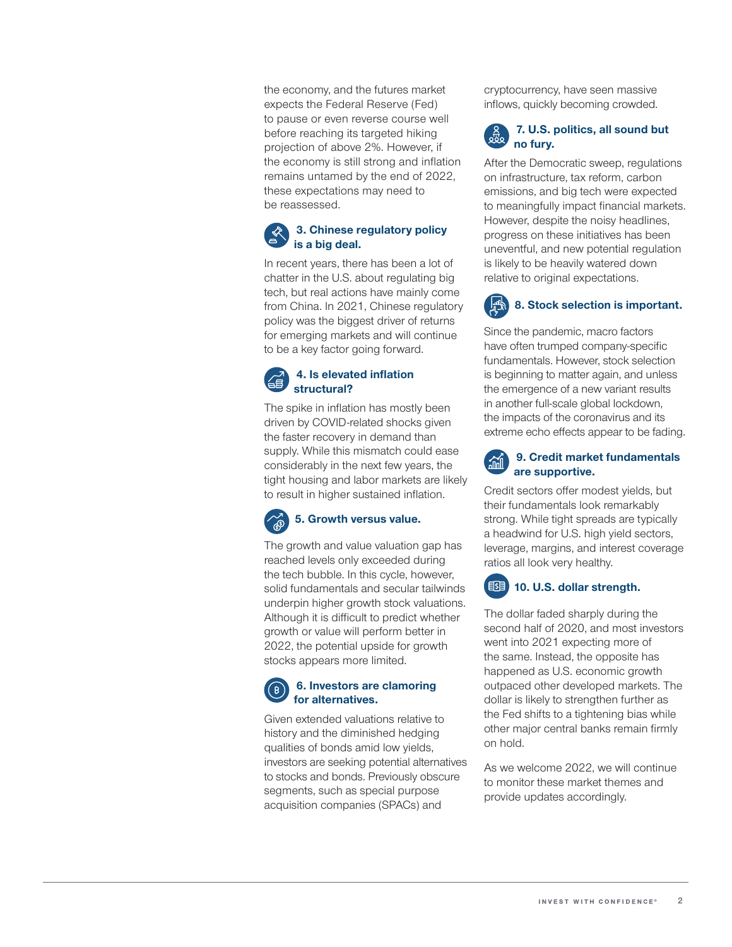the economy, and the futures market expects the Federal Reserve (Fed) to pause or even reverse course well before reaching its targeted hiking projection of above 2%. However, if the economy is still strong and inflation remains untamed by the end of 2022, these expectations may need to be reassessed.

### 3. Chinese regulatory policy is a big deal.

In recent years, there has been a lot of chatter in the U.S. about regulating big tech, but real actions have mainly come from China. In 2021, Chinese regulatory policy was the biggest driver of returns for emerging markets and will continue to be a key factor going forward.

### 4. Is elevated inflation structural?

The spike in inflation has mostly been driven by COVID-related shocks given the faster recovery in demand than supply. While this mismatch could ease considerably in the next few years, the tight housing and labor markets are likely to result in higher sustained inflation.

## 5. Growth versus value.

The growth and value valuation gap has reached levels only exceeded during the tech bubble. In this cycle, however, solid fundamentals and secular tailwinds underpin higher growth stock valuations. Although it is difficult to predict whether growth or value will perform better in 2022, the potential upside for growth stocks appears more limited.

### 6. Investors are clamoring for alternatives.

Given extended valuations relative to history and the diminished hedging qualities of bonds amid low yields, investors are seeking potential alternatives to stocks and bonds. Previously obscure segments, such as special purpose acquisition companies (SPACs) and

cryptocurrency, have seen massive inflows, quickly becoming crowded.

### 7. U.S. politics, all sound but no fury.

After the Democratic sweep, regulations on infrastructure, tax reform, carbon emissions, and big tech were expected to meaningfully impact financial markets. However, despite the noisy headlines, progress on these initiatives has been uneventful, and new potential regulation is likely to be heavily watered down relative to original expectations.

## 8. Stock selection is important.

Since the pandemic, macro factors have often trumped company-specific fundamentals. However, stock selection is beginning to matter again, and unless the emergence of a new variant results in another full-scale global lockdown, the impacts of the coronavirus and its extreme echo effects appear to be fading.

### 9. Credit market fundamentals are supportive.

Credit sectors offer modest yields, but their fundamentals look remarkably strong. While tight spreads are typically a headwind for U.S. high yield sectors, leverage, margins, and interest coverage ratios all look very healthy.

### **10. U.S. dollar strength.**

The dollar faded sharply during the second half of 2020, and most investors went into 2021 expecting more of the same. Instead, the opposite has happened as U.S. economic growth outpaced other developed markets. The dollar is likely to strengthen further as the Fed shifts to a tightening bias while other major central banks remain firmly on hold.

As we welcome 2022, we will continue to monitor these market themes and provide updates accordingly.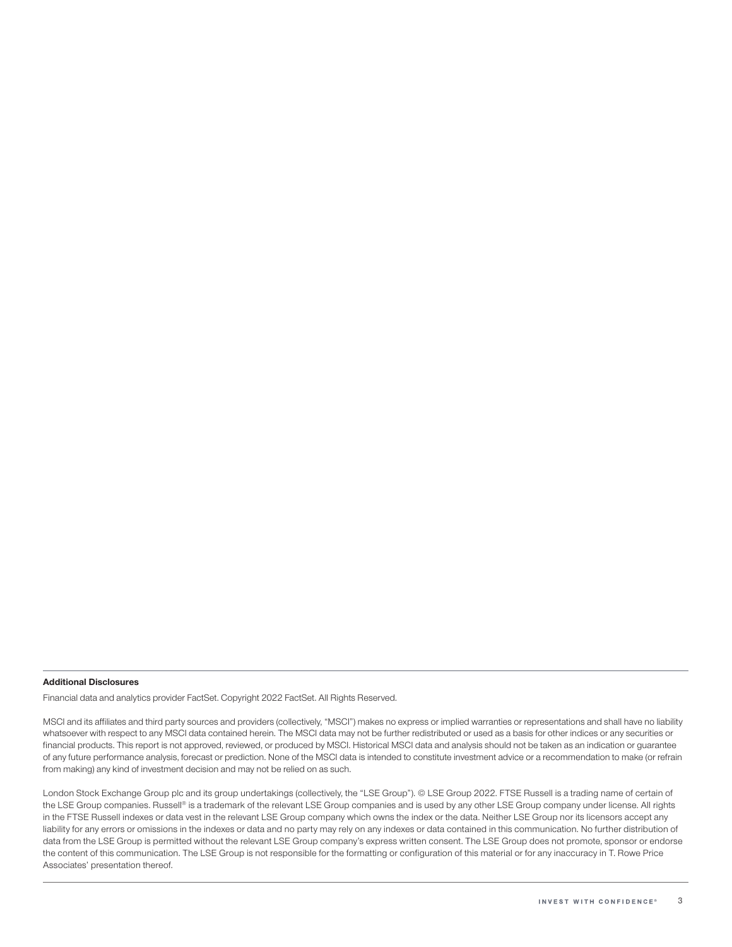#### Additional Disclosures

Financial data and analytics provider FactSet. Copyright 2022 FactSet. All Rights Reserved.

MSCI and its affiliates and third party sources and providers (collectively, "MSCI") makes no express or implied warranties or representations and shall have no liability whatsoever with respect to any MSCI data contained herein. The MSCI data may not be further redistributed or used as a basis for other indices or any securities or financial products. This report is not approved, reviewed, or produced by MSCI. Historical MSCI data and analysis should not be taken as an indication or guarantee of any future performance analysis, forecast or prediction. None of the MSCI data is intended to constitute investment advice or a recommendation to make (or refrain from making) any kind of investment decision and may not be relied on as such.

London Stock Exchange Group plc and its group undertakings (collectively, the "LSE Group"). © LSE Group 2022. FTSE Russell is a trading name of certain of the LSE Group companies. Russell® is a trademark of the relevant LSE Group companies and is used by any other LSE Group company under license. All rights in the FTSE Russell indexes or data vest in the relevant LSE Group company which owns the index or the data. Neither LSE Group nor its licensors accept any liability for any errors or omissions in the indexes or data and no party may rely on any indexes or data contained in this communication. No further distribution of data from the LSE Group is permitted without the relevant LSE Group company's express written consent. The LSE Group does not promote, sponsor or endorse the content of this communication. The LSE Group is not responsible for the formatting or configuration of this material or for any inaccuracy in T. Rowe Price Associates' presentation thereof.